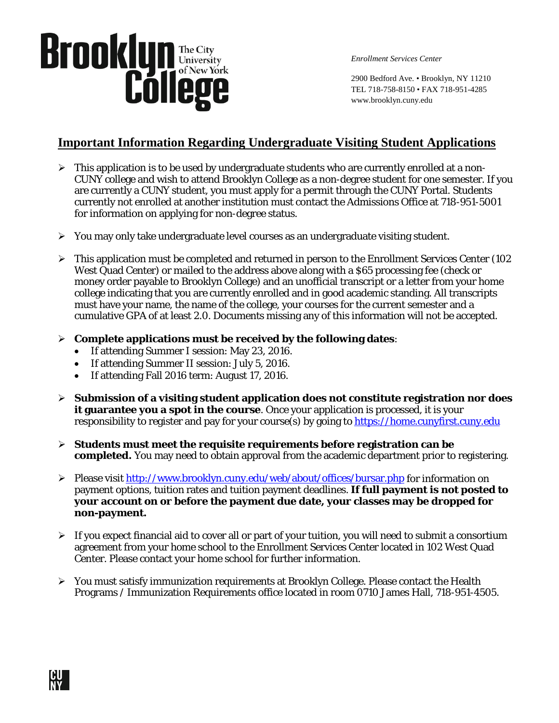

*Enrollment Services Center*

2900 Bedford Ave. • Brooklyn, NY 11210 TEL 718-758-8150 • FAX 718-951-4285 www.brooklyn.cuny.edu

#### **Important Information Regarding Undergraduate Visiting Student Applications**

- $\triangleright$  This application is to be used by undergraduate students who are currently enrolled at a non-CUNY college and wish to attend Brooklyn College as a non-degree student for one semester. If you are currently a CUNY student, you must apply for a permit through the CUNY Portal. Students currently not enrolled at another institution must contact the Admissions Office at 718-951-5001 for information on applying for non-degree status.
- $\triangleright$  You may only take undergraduate level courses as an undergraduate visiting student.
- $\triangleright$  This application must be completed and returned in person to the Enrollment Services Center (102) West Quad Center) or mailed to the address above along with a \$65 processing fee (check or money order payable to Brooklyn College) and an unofficial transcript or a letter from your home college indicating that you are currently enrolled and in good academic standing. All transcripts must have your name, the name of the college, your courses for the current semester and a cumulative GPA of at least 2.0. Documents missing any of this information will not be accepted.
- **Complete applications must be received by the following dates**:
	- If attending Summer I session: May 23, 2016.
	- If attending Summer II session: July 5, 2016.
	- If attending Fall 2016 term: August 17, 2016.
- **Submission of a visiting student application does not constitute registration nor does it guarantee you a spot in the course**. Once your application is processed, it is your responsibility to register and pay for your course(s) by going to [https://home.cunyfirst.cuny.edu](https://home.cunyfirst.cuny.edu/)
- **Students must meet the requisite requirements before registration can be completed.** You may need to obtain approval from the academic department prior to registering.
- Please visit<http://www.brooklyn.cuny.edu/web/about/offices/bursar.php> for information on payment options, tuition rates and tuition payment deadlines. **If full payment is not posted to your account on or before the payment due date, your classes may be dropped for non-payment.**
- $\triangleright$  If you expect financial aid to cover all or part of your tuition, you will need to submit a consortium agreement from your home school to the Enrollment Services Center located in 102 West Quad Center. Please contact your home school for further information.
- $\triangleright$  You must satisfy immunization requirements at Brooklyn College. Please contact the Health Programs / Immunization Requirements office located in room 0710 James Hall, 718-951-4505.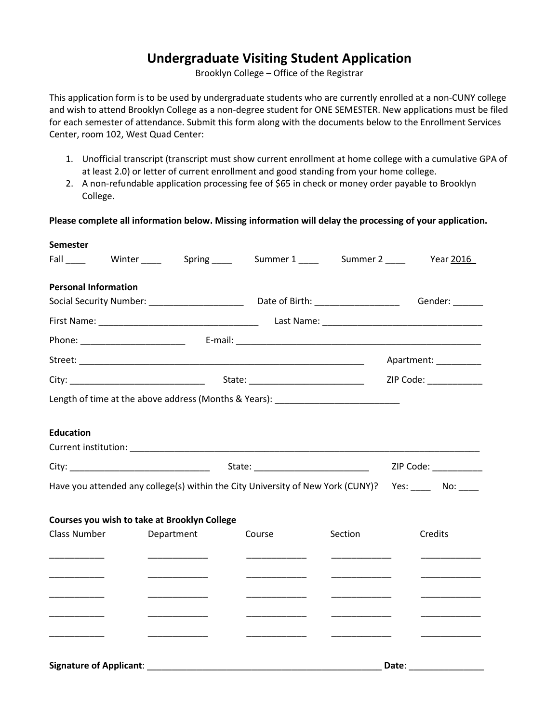#### **Undergraduate Visiting Student Application**

Brooklyn College – Office of the Registrar

This application form is to be used by undergraduate students who are currently enrolled at a non-CUNY college and wish to attend Brooklyn College as a non-degree student for ONE SEMESTER. New applications must be filed for each semester of attendance. Submit this form along with the documents below to the Enrollment Services Center, room 102, West Quad Center:

- 1. Unofficial transcript (transcript must show current enrollment at home college with a cumulative GPA of at least 2.0) or letter of current enrollment and good standing from your home college.
- 2. A non-refundable application processing fee of \$65 in check or money order payable to Brooklyn College.

**Please complete all information below. Missing information will delay the processing of your application.**

| <b>Semester</b>                              |                                                 |  |                                                                                  |                        |                                                                                                                       |
|----------------------------------------------|-------------------------------------------------|--|----------------------------------------------------------------------------------|------------------------|-----------------------------------------------------------------------------------------------------------------------|
| Fall                                         | Winter ______ Spring _____                      |  |                                                                                  |                        |                                                                                                                       |
| <b>Personal Information</b>                  |                                                 |  |                                                                                  |                        |                                                                                                                       |
|                                              |                                                 |  |                                                                                  |                        | Gender: ______                                                                                                        |
|                                              |                                                 |  |                                                                                  |                        |                                                                                                                       |
|                                              |                                                 |  |                                                                                  |                        |                                                                                                                       |
|                                              |                                                 |  |                                                                                  |                        | Apartment: _________                                                                                                  |
|                                              |                                                 |  |                                                                                  | ZIP Code: ____________ |                                                                                                                       |
|                                              |                                                 |  | Length of time at the above address (Months & Years): __________________________ |                        |                                                                                                                       |
| <b>Education</b>                             |                                                 |  |                                                                                  |                        |                                                                                                                       |
|                                              |                                                 |  |                                                                                  | ZIP Code: ___________  |                                                                                                                       |
|                                              |                                                 |  |                                                                                  |                        | Have you attended any college(s) within the City University of New York (CUNY)? Yes: ______ No:                       |
| Courses you wish to take at Brooklyn College |                                                 |  |                                                                                  |                        |                                                                                                                       |
| Class Number                                 | Department                                      |  | Course                                                                           | Section                | Credits                                                                                                               |
|                                              | _______________                                 |  |                                                                                  |                        | <u> Liston de la construcción de la construcción de la construcción de la construcción de la construcción de la c</u> |
| __________________                           |                                                 |  |                                                                                  |                        | <u> 1950 - Johann Barnett, mars et al.</u>                                                                            |
|                                              |                                                 |  |                                                                                  |                        |                                                                                                                       |
|                                              |                                                 |  |                                                                                  |                        |                                                                                                                       |
|                                              | <u> 1989 - Johann Barnett, fransk politiker</u> |  |                                                                                  |                        |                                                                                                                       |
|                                              |                                                 |  |                                                                                  |                        |                                                                                                                       |
|                                              |                                                 |  |                                                                                  |                        |                                                                                                                       |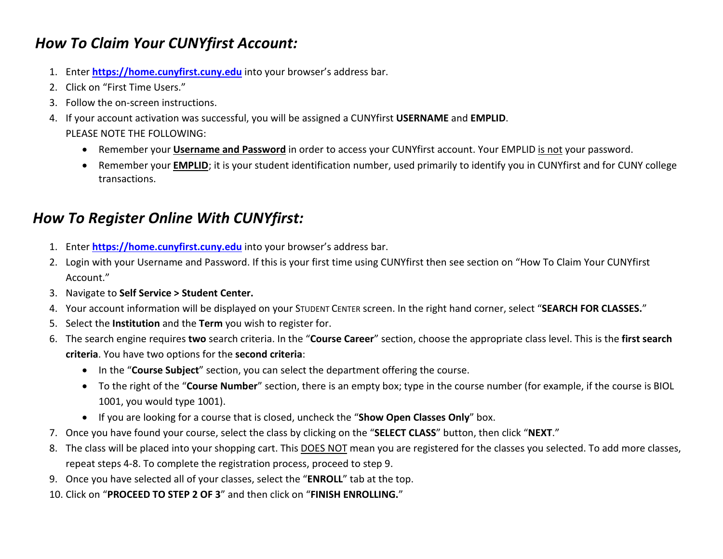## *How To Claim Your CUNYfirst Account:*

- 1. Enter **[https://home.cunyfirst.cuny.edu](https://home.cunyfirst.cuny.edu/)** into your browser's address bar.
- 2. Click on "First Time Users."
- 3. Follow the on-screen instructions.
- 4. If your account activation was successful, you will be assigned a CUNYfirst **USERNAME** and **EMPLID**. PLEASE NOTE THE FOLLOWING:
	- Remember your **Username and Password** in order to access your CUNYfirst account. Your EMPLID is not your password.
	- Remember your **EMPLID**; it is your student identification number, used primarily to identify you in CUNYfirst and for CUNY college transactions.

## *How To Register Online With CUNYfirst:*

- 1. Enter **[https://home.cunyfirst.cuny.edu](https://home.cunyfirst.cuny.edu/)** into your browser's address bar.
- 2. Login with your Username and Password. If this is your first time using CUNYfirst then see section on "How To Claim Your CUNYfirst Account."
- 3. Navigate to **Self Service > Student Center.**
- 4. Your account information will be displayed on your STUDENT CENTER screen. In the right hand corner, select "**SEARCH FOR CLASSES.**"
- 5. Select the **Institution** and the **Term** you wish to register for.
- 6. The search engine requires **two** search criteria. In the "**Course Career**" section, choose the appropriate class level. This is the **first search criteria**. You have two options for the **second criteria**:
	- In the "**Course Subject**" section, you can select the department offering the course.
	- To the right of the "**Course Number**" section, there is an empty box; type in the course number (for example, if the course is BIOL 1001, you would type 1001).
	- If you are looking for a course that is closed, uncheck the "**Show Open Classes Only**" box.
- 7. Once you have found your course, select the class by clicking on the "**SELECT CLASS**" button, then click "**NEXT**."
- 8. The class will be placed into your shopping cart. This **DOES NOT** mean you are registered for the classes you selected. To add more classes, repeat steps 4-8. To complete the registration process, proceed to step 9.
- 9. Once you have selected all of your classes, select the "**ENROLL**" tab at the top.
- 10. Click on "**PROCEED TO STEP 2 OF 3**" and then click on "**FINISH ENROLLING.**"